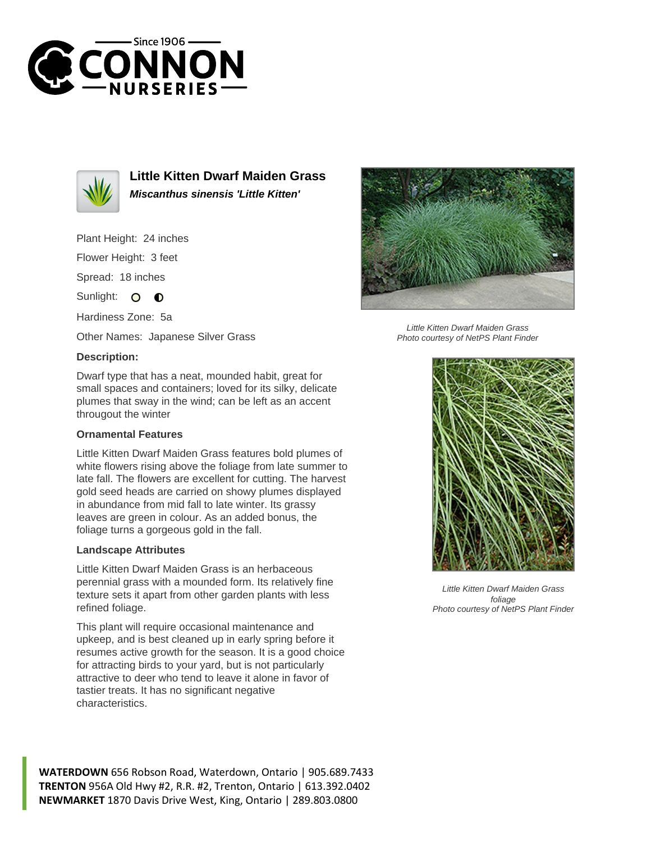



**Little Kitten Dwarf Maiden Grass Miscanthus sinensis 'Little Kitten'**

Plant Height: 24 inches

Flower Height: 3 feet

Spread: 18 inches

Sunlight: O **O** 

Hardiness Zone: 5a

Other Names: Japanese Silver Grass

## **Description:**

Dwarf type that has a neat, mounded habit, great for small spaces and containers; loved for its silky, delicate plumes that sway in the wind; can be left as an accent througout the winter

## **Ornamental Features**

Little Kitten Dwarf Maiden Grass features bold plumes of white flowers rising above the foliage from late summer to late fall. The flowers are excellent for cutting. The harvest gold seed heads are carried on showy plumes displayed in abundance from mid fall to late winter. Its grassy leaves are green in colour. As an added bonus, the foliage turns a gorgeous gold in the fall.

## **Landscape Attributes**

Little Kitten Dwarf Maiden Grass is an herbaceous perennial grass with a mounded form. Its relatively fine texture sets it apart from other garden plants with less refined foliage.

This plant will require occasional maintenance and upkeep, and is best cleaned up in early spring before it resumes active growth for the season. It is a good choice for attracting birds to your yard, but is not particularly attractive to deer who tend to leave it alone in favor of tastier treats. It has no significant negative characteristics.



Photo courtesy of NetPS Plant Finder



Little Kitten Dwarf Maiden Grass foliage Photo courtesy of NetPS Plant Finder

**WATERDOWN** 656 Robson Road, Waterdown, Ontario | 905.689.7433 **TRENTON** 956A Old Hwy #2, R.R. #2, Trenton, Ontario | 613.392.0402 **NEWMARKET** 1870 Davis Drive West, King, Ontario | 289.803.0800